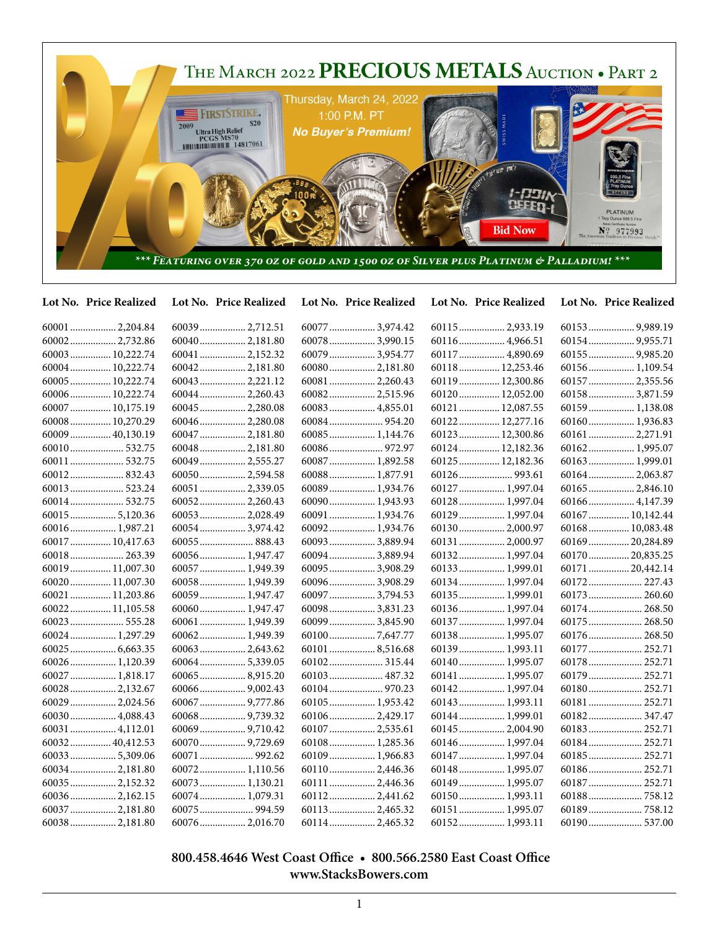

| Lot No. Price Realized | Lot No. Price Realized | Lot No. Price Realized | Lot No. Price Realized | Lot No. Price Realized |
|------------------------|------------------------|------------------------|------------------------|------------------------|
| 60001  2,204.84        | 60039 2,712.51         | 60077  3,974.42        | 60115 2,933.19         | 60153 9,989.19         |
| 60002 2,732.86         | 60040 2,181.80         | 60078  3,990.15        | 60116  4,966.51        |                        |
| 60003  10,222.74       | 60041  2,152.32        | 60079  3,954.77        | 60117  4,890.69        | 60155  9,985.20        |
| 60004 10,222.74        | 60042 2,181.80         | 60080 2,181.80         | 60118 12,253.46        | 60156 1,109.54         |
| 60005  10,222.74       | 600432,221.12          | 60081  2,260.43        | 60119  12,300.86       | 60157  2,355.56        |
| 60006 10,222.74        | 60044 2,260.43         | 60082 2,515.96         | 60120 12,052.00        | 60158 3,871.59         |
| 60007  10,175.19       | 60045  2,280.08        | 60083  4,855.01        | 60121  12,087.55       | 60159 1,138.08         |
| 60008 10,270.29        | 60046 2,280.08         |                        | 60122 12,277.16        | 60160 1,936.83         |
| 60009  40,130.19       | 60047  2,181.80        | 60085  1,144.76        | 60123  12,300.86       | 60161  2,271.91        |
|                        | 60048 2,181.80         |                        | 60124  12,182.36       | 60162 1,995.07         |
| 60011  532.75          | 60049  2,555.27        | 60087  1,892.58        | 60125  12,182.36       | 60163 1,999.01         |
|                        | 60050 2,594.58         | 60088 1,877.91         |                        | 60164 2,063.87         |
|                        | 60051  2,339.05        | 60089  1,934.76        | 60127  1,997.04        | 60165  2,846.10        |
|                        | 60052 2,260.43         | 60090 1,943.93         | 60128 1,997.04         | 60166  4,147.39        |
| 60015  5,120.36        | 60053  2,028.49        | 60091  1,934.76        | 60129  1,997.04        | 60167  10,142.44       |
| 60016 1,987.21         | 600543,974.42          | 60092 1,934.76         | 60130 2,000.97         | 60168 10,083.48        |
| 60017  10,417.63       | $60055$ 888.43         | 60093  3,889.94        | 60131  2,000.97        | 60169  20,284.89       |
| 60018 263.39           | 60056 1,947.47         | 60094  3,889.94        | 60132 1,997.04         | 60170  20,835.25       |
| 60019  11,007.30       | 60057  1,949.39        | 60095  3,908.29        | 60133 1,999.01         | 60171  20,442.14       |
| 60020  11,007.30       | 60058 1,949.39         | 60096  3,908.29        | 60134  1,997.04        | 60172 227.43           |
| 60021  11,203.86       | 60059 1,947.47         | 60097  3,794.53        | 60135  1,999.01        | 60173 260.60           |
| 60022 11,105.58        | 60060 1,947.47         | 60098 3,831.23         | 60136 1,997.04         | 60174 268.50           |
| 60023 555.28           | 60061  1,949.39        | 60099  3,845.90        | 60137  1,997.04        | 60175  268.50          |
| 60024  1,297.29        | 60062 1,949.39         |                        | 60138 1,995.07         | 60176 268.50           |
| $60025$ 6,663.35       | 60063 2,643.62         | 60101  8,516.68        | 60139 1,993.11         | 60177  252.71          |
| 60026 1,120.39         | 60064 5,339.05         | 60102 315.44           | 60140  1,995.07        | 60178 252.71           |
| 60027  1,818.17        | 600658,915.20          | 60103  487.32          | 60141  1,995.07        | 60179  252.71          |
| 60028  2,132.67        |                        |                        | 60142  1,997.04        | 60180 252.71           |
| 60029  2,024.56        | 60067  9,777.86        | 60105 1,953.42         | 60143  1,993.11        | 60181 252.71           |
| 60030 4,088.43         |                        | 60106 2,429.17         | 60144  1,999.01        |                        |
| 60031  4,112.01        |                        | 60107  2,535.61        | 60145  2,004.90        | 60183 252.71           |
| 60032 40,412.53        |                        | 60108 1,285.36         | 60146  1,997.04        | 60184 252.71           |
| 60033  5,309.06        | 60071  992.62          | 60109 1,966.83         | 60147  1,997.04        | 60185 252.71           |
| 60034  2,181.80        | 60072 1,110.56         | 60110 2,446.36         | 60148  1,995.07        | 60186 252.71           |
| 60035  2,152.32        | $60073$ 1,130.21       | 60111  2,446.36        | 60149  1,995.07        | 60187  252.71          |
| 600362,162.15          | $60074$ 1,079.31       | 60112 2,441.62         | 60150 1,993.11         |                        |
| 60037  2,181.80        | 60075  994.59          | 60113 2,465.32         | 60151  1,995.07        |                        |
|                        | 60076 2,016.70         | 60114 2,465.32         | 60152 1,993.11         |                        |

## **800.458.4646 West Coast Office • 800.566.2580 East Coast Office www.StacksBowers.com**